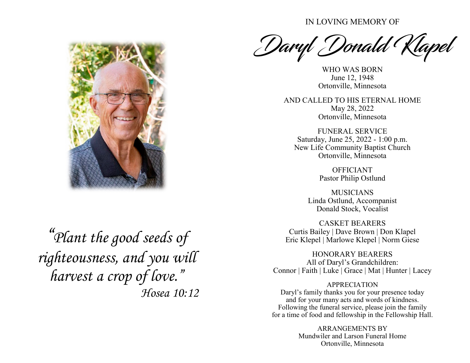IN LOVING MEMORY OF

Daryl Donald Klapel

WHO WAS BORN June 12, 1948 Ortonville, Minnesota

AND CALLED TO HIS ETERNAL HOME May 28, 2022 Ortonville, Minnesota

FUNERAL SERVICE Saturday, June 25, 2022 - 1:00 p.m. New Life Community Baptist Church Ortonville, Minnesota

> OFFICIANT Pastor Philip Ostlund

MUSICIANS Linda Ostlund, Accompanist Donald Stock, Vocalist

CASKET BEARERS Curtis Bailey | Dave Brown | Don Klapel Eric Klepel | Marlowe Klepel | Norm Giese

HONORARY BEARERS All of Daryl's Grandchildren: Connor | Faith | Luke | Grace | Mat | Hunter | Lacey

## APPRECIATION

Daryl's family thanks you for your presence today and for your many acts and words of kindness. Following the funeral service, please join the family for a time of food and fellowship in the Fellowship Hall.

> ARRANGEMENTS BY Mundwiler and Larson Funeral Home Ortonville, Minnesota



*"Plant the good seeds of righteousness, and you will harvest a crop of love." Hosea 10:12*